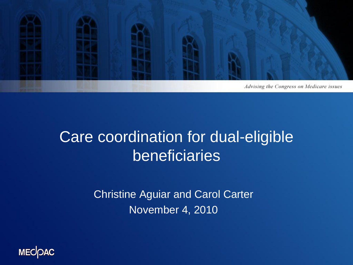

#### Care coordination for dual-eligible beneficiaries

Christine Aguiar and Carol Carter November 4, 2010

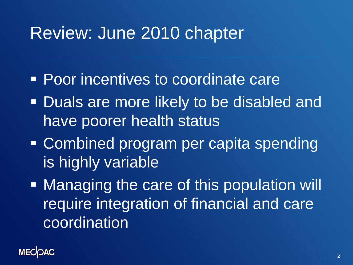### Review: June 2010 chapter

- **Poor incentives to coordinate care**
- **Duals are more likely to be disabled and** have poorer health status
- Combined program per capita spending is highly variable
- **Managing the care of this population will** require integration of financial and care coordination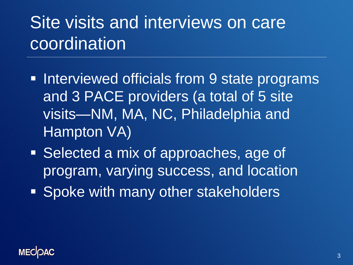# Site visits and interviews on care **coordination**

- **Interviewed officials from 9 state programs** and 3 PACE providers (a total of 5 site visits—NM, MA, NC, Philadelphia and Hampton VA)
- Selected a mix of approaches, age of program, varying success, and location
- **Spoke with many other stakeholders**

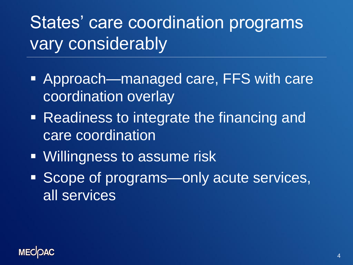# States' care coordination programs vary considerably

- Approach—managed care, FFS with care coordination overlay
- **Readiness to integrate the financing and** care coordination
- **Willingness to assume risk**
- Scope of programs—only acute services, all services

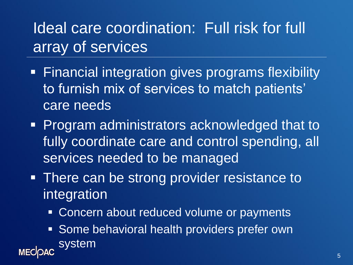#### Ideal care coordination: Full risk for full array of services

- **Financial integration gives programs flexibility** to furnish mix of services to match patients' care needs
- **Program administrators acknowledged that to** fully coordinate care and control spending, all services needed to be managed
- There can be strong provider resistance to integration
	- **Concern about reduced volume or payments**
- **Some behavioral health providers prefer own** system **MECOAC**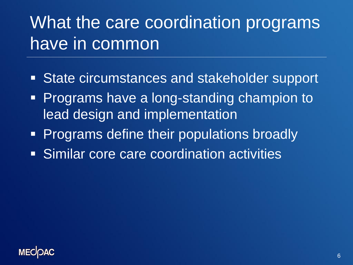# What the care coordination programs have in common

- State circumstances and stakeholder support
- **Programs have a long-standing champion to** lead design and implementation
- **Programs define their populations broadly**
- Similar core care coordination activities

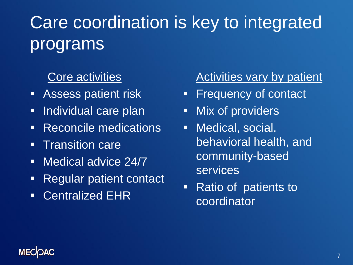# Care coordination is key to integrated programs

#### Core activities

- **Assess patient risk**
- **Individual care plan**
- **Reconcile medications**
- **Transition care**
- **Nedical advice 24/7**
- Regular patient contact
- Centralized EHR

#### Activities vary by patient

- **Filte Frequency of contact**
- **Nix of providers**
- **Nedical, social,** behavioral health, and community-based services
- Ratio of patients to coordinator

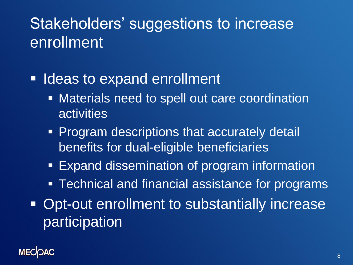#### Stakeholders' suggestions to increase enrollment

- **If Ideas to expand enrollment** 
	- **EXECTE:** Materials need to spell out care coordination activities
	- **Program descriptions that accurately detail** benefits for dual-eligible beneficiaries
	- **Expand dissemination of program information**
	- **Technical and financial assistance for programs**
- **Opt-out enrollment to substantially increase** participation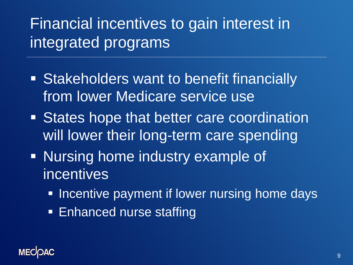### Financial incentives to gain interest in integrated programs

- **Stakeholders want to benefit financially** from lower Medicare service use
- **States hope that better care coordination** will lower their long-term care spending
- **Nursing home industry example of** incentives
	- **Incentive payment if lower nursing home days**
	- **Enhanced nurse staffing**

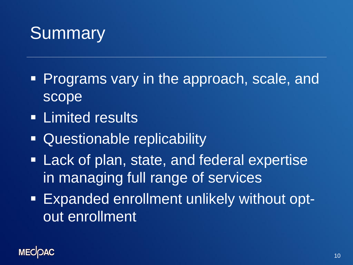## Summary

- **Programs vary in the approach, scale, and** scope
- **ELIMITED FIRSULTS**
- Questionable replicability
- **Lack of plan, state, and federal expertise** in managing full range of services
- Expanded enrollment unlikely without optout enrollment

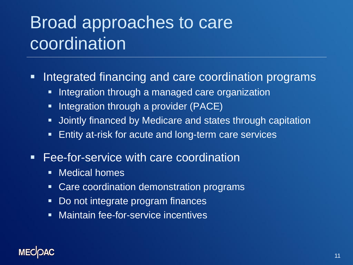## Broad approaches to care coordination

- **Integrated financing and care coordination programs** 
	- **Integration through a managed care organization**
	- **Integration through a provider (PACE)**
	- **Jointly financed by Medicare and states through capitation**
	- **Entity at-risk for acute and long-term care services**
- **Fee-for-service with care coordination** 
	- **Nedical homes**
	- **Care coordination demonstration programs**
	- **Do not integrate program finances**
	- **Naintain fee-for-service incentives**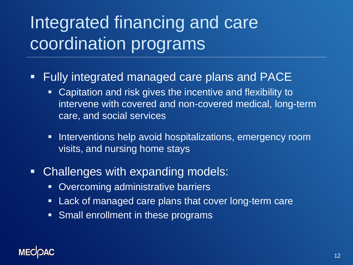# Integrated financing and care coordination programs

- **Fully integrated managed care plans and PACE** 
	- **-** Capitation and risk gives the incentive and flexibility to intervene with covered and non-covered medical, long-term care, and social services
	- **Interventions help avoid hospitalizations, emergency room** visits, and nursing home stays
- **Challenges with expanding models:** 
	- **Divercoming administrative barriers**
	- **Lack of managed care plans that cover long-term care**
	- **Small enrollment in these programs**

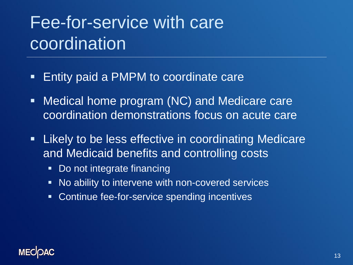# Fee-for-service with care coordination

- **Entity paid a PMPM to coordinate care**
- **Medical home program (NC) and Medicare care** coordination demonstrations focus on acute care
- **E** Likely to be less effective in coordinating Medicare and Medicaid benefits and controlling costs
	- Do not integrate financing
	- No ability to intervene with non-covered services
	- **EX Continue fee-for-service spending incentives**

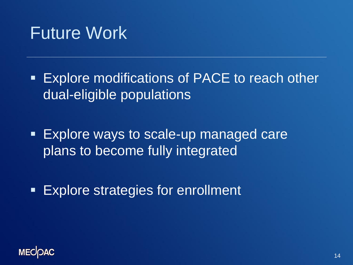#### Future Work

**Explore modifications of PACE to reach other** dual-eligible populations

**Explore ways to scale-up managed care** plans to become fully integrated

**Explore strategies for enrollment**